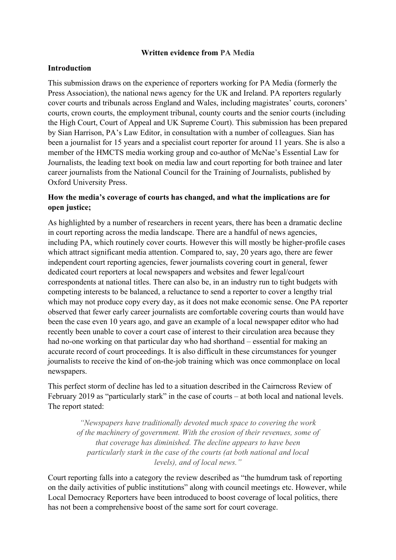### **Written evidence from PA Media**

### **Introduction**

This submission draws on the experience of reporters working for PA Media (formerly the Press Association), the national news agency for the UK and Ireland. PA reporters regularly cover courts and tribunals across England and Wales, including magistrates' courts, coroners' courts, crown courts, the employment tribunal, county courts and the senior courts (including the High Court, Court of Appeal and UK Supreme Court). This submission has been prepared by Sian Harrison, PA's Law Editor, in consultation with a number of colleagues. Sian has been a journalist for 15 years and a specialist court reporter for around 11 years. She is also a member of the HMCTS media working group and co-author of McNae's Essential Law for Journalists, the leading text book on media law and court reporting for both trainee and later career journalists from the National Council for the Training of Journalists, published by Oxford University Press.

### **How the media's coverage of courts has changed, and what the implications are for open justice;**

As highlighted by a number of researchers in recent years, there has been a dramatic decline in court reporting across the media landscape. There are a handful of news agencies, including PA, which routinely cover courts. However this will mostly be higher-profile cases which attract significant media attention. Compared to, say, 20 years ago, there are fewer independent court reporting agencies, fewer journalists covering court in general, fewer dedicated court reporters at local newspapers and websites and fewer legal/court correspondents at national titles. There can also be, in an industry run to tight budgets with competing interests to be balanced, a reluctance to send a reporter to cover a lengthy trial which may not produce copy every day, as it does not make economic sense. One PA reporter observed that fewer early career journalists are comfortable covering courts than would have been the case even 10 years ago, and gave an example of a local newspaper editor who had recently been unable to cover a court case of interest to their circulation area because they had no-one working on that particular day who had shorthand – essential for making an accurate record of court proceedings. It is also difficult in these circumstances for younger journalists to receive the kind of on-the-job training which was once commonplace on local newspapers.

This perfect storm of decline has led to a situation described in the Cairncross Review of February 2019 as "particularly stark" in the case of courts – at both local and national levels. The report stated:

*"Newspapers have traditionally devoted much space to covering the work of the machinery of government. With the erosion of their revenues, some of that coverage has diminished. The decline appears to have been particularly stark in the case of the courts (at both national and local levels), and of local news."*

Court reporting falls into a category the review described as "the humdrum task of reporting on the daily activities of public institutions" along with council meetings etc. However, while Local Democracy Reporters have been introduced to boost coverage of local politics, there has not been a comprehensive boost of the same sort for court coverage.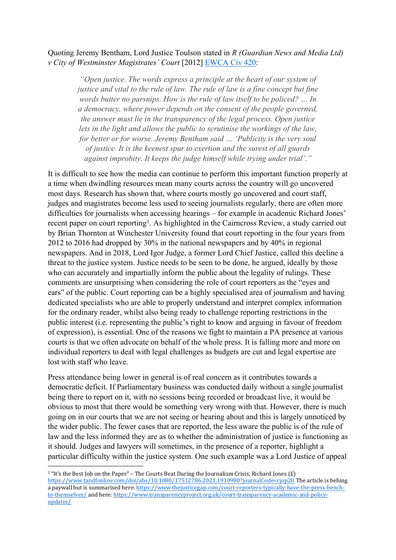Quoting Jeremy Bentham, Lord Justice Toulson stated in *R (Guardian News and Media Ltd) v City of Westminster Magistrates' Court* [2012] [EWCA](https://www.bailii.org/ew/cases/EWCA/Civ/2012/420.html) [Civ](https://www.bailii.org/ew/cases/EWCA/Civ/2012/420.html) [420:](https://www.bailii.org/ew/cases/EWCA/Civ/2012/420.html)

*"Open justice. The words express a principle at the heart of our system of justice and vital to the rule of law. The rule of law is a fine concept but fine words butter no parsnips. How is the rule of law itself to be policed? … In a democracy, where power depends on the consent of the people governed, the answer must lie in the transparency of the legal process. Open justice lets in the light and allows the public to scrutinise the workings of the law, for better or for worse. Jeremy Bentham said … 'Publicity is the very soul of justice. It is the keenest spur to exertion and the surest of all guards against improbity. It keeps the judge himself while trying under trial'."*

It is difficult to see how the media can continue to perform this important function properly at a time when dwindling resources mean many courts across the country will go uncovered most days. Research has shown that, where courts mostly go uncovered and court staff, judges and magistrates become less used to seeing journalists regularly, there are often more difficulties for journalists when accessing hearings – for example in academic Richard Jones' recent paper on court reporting<sup>1</sup>. As highlighted in the Cairncross Review, a study carried out by Brian Thornton at Winchester University found that court reporting in the four years from 2012 to 2016 had dropped by 30% in the national newspapers and by 40% in regional newspapers. And in 2018, Lord Igor Judge, a former Lord Chief Justice, called this decline a threat to the justice system. Justice needs to be seen to be done, he argued, ideally by those who can accurately and impartially inform the public about the legality of rulings. These comments are unsurprising when considering the role of court reporters as the "eyes and ears" of the public. Court reporting can be a highly specialised area of journalism and having dedicated specialists who are able to properly understand and interpret complex information for the ordinary reader, whilst also being ready to challenge reporting restrictions in the public interest (i.e. representing the public's right to know and arguing in favour of freedom of expression), is essential. One of the reasons we fight to maintain a PA presence at various courts is that we often advocate on behalf of the whole press. It is falling more and more on individual reporters to deal with legal challenges as budgets are cut and legal expertise are lost with staff who leave.

Press attendance being lower in general is of real concern as it contributes towards a democratic deficit. If Parliamentary business was conducted daily without a single journalist being there to report on it, with no sessions being recorded or broadcast live, it would be obvious to most that there would be something very wrong with that. However, there is much going on in our courts that we are not seeing or hearing about and this is largely unnoticed by the wider public. The fewer cases that are reported, the less aware the public is of the rule of law and the less informed they are as to whether the administration of justice is functioning as it should. Judges and lawyers will sometimes, in the presence of a reporter, highlight a particular difficulty within the justice system. One such example was a Lord Justice of appeal

<sup>&</sup>lt;sup>1</sup> "It's the Best Job on the Paper" – The Courts Beat During the Journalism Crisis, Richard Jones (£) <https://www.tandfonline.com/doi/abs/10.1080/17512786.2021.1910980?journalCode=rjop20> The article is behing a paywall but is summarised here: [https://www.thejusticegap.com/court-reporters-typically-have-the-press-bench](https://www.thejusticegap.com/court-reporters-typically-have-the-press-bench-to-themselves/)[to-themselves/](https://www.thejusticegap.com/court-reporters-typically-have-the-press-bench-to-themselves/) and here: [https://www.transparencyproject.org.uk/court-transparency-academic-and-policy](https://www.transparencyproject.org.uk/court-transparency-academic-and-policy-updates/)[updates/](https://www.transparencyproject.org.uk/court-transparency-academic-and-policy-updates/)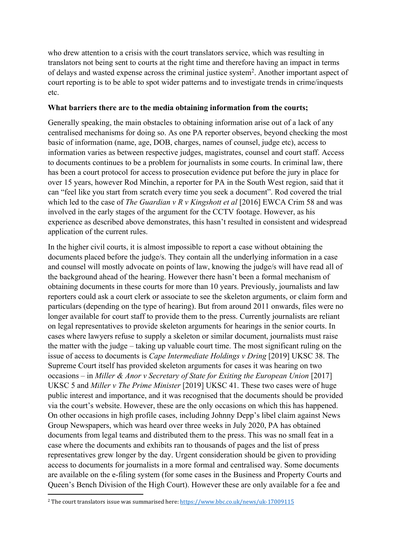who drew attention to a crisis with the court translators service, which was resulting in translators not being sent to courts at the right time and therefore having an impact in terms of delays and wasted expense across the criminal justice system<sup>2</sup>. Another important aspect of court reporting is to be able to spot wider patterns and to investigate trends in crime/inquests etc.

### **What barriers there are to the media obtaining information from the courts;**

Generally speaking, the main obstacles to obtaining information arise out of a lack of any centralised mechanisms for doing so. As one PA reporter observes, beyond checking the most basic of information (name, age, DOB, charges, names of counsel, judge etc), access to information varies as between respective judges, magistrates, counsel and court staff. Access to documents continues to be a problem for journalists in some courts. In criminal law, there has been a court protocol for access to prosecution evidence put before the jury in place for over 15 years, however Rod Minchin, a reporter for PA in the South West region, said that it can "feel like you start from scratch every time you seek a document". Rod covered the trial which led to the case of *The Guardian v R v Kingshott et al* [2016] EWCA Crim 58 and was involved in the early stages of the argument for the CCTV footage. However, as his experience as described above demonstrates, this hasn't resulted in consistent and widespread application of the current rules.

In the higher civil courts, it is almost impossible to report a case without obtaining the documents placed before the judge/s. They contain all the underlying information in a case and counsel will mostly advocate on points of law, knowing the judge/s will have read all of the background ahead of the hearing. However there hasn't been a formal mechanism of obtaining documents in these courts for more than 10 years. Previously, journalists and law reporters could ask a court clerk or associate to see the skeleton arguments, or claim form and particulars (depending on the type of hearing). But from around 2011 onwards, files were no longer available for court staff to provide them to the press. Currently journalists are reliant on legal representatives to provide skeleton arguments for hearings in the senior courts. In cases where lawyers refuse to supply a skeleton or similar document, journalists must raise the matter with the judge – taking up valuable court time. The most significant ruling on the issue of access to documents is *Cape Intermediate Holdings v Dring* [2019] UKSC 38. The Supreme Court itself has provided skeleton arguments for cases it was hearing on two occasions – in *Miller & Anor v Secretary of State for Exiting the European Union* [2017] UKSC 5 and *Miller v The Prime Minister* [2019] UKSC 41. These two cases were of huge public interest and importance, and it was recognised that the documents should be provided via the court's website. However, these are the only occasions on which this has happened. On other occasions in high profile cases, including Johnny Depp's libel claim against News Group Newspapers, which was heard over three weeks in July 2020, PA has obtained documents from legal teams and distributed them to the press. This was no small feat in a case where the documents and exhibits ran to thousands of pages and the list of press representatives grew longer by the day. Urgent consideration should be given to providing access to documents for journalists in a more formal and centralised way. Some documents are available on the e-filing system (for some cases in the Business and Property Courts and Queen's Bench Division of the High Court). However these are only available for a fee and

<sup>2</sup> The court translators issue was summarised here: <https://www.bbc.co.uk/news/uk-17009115>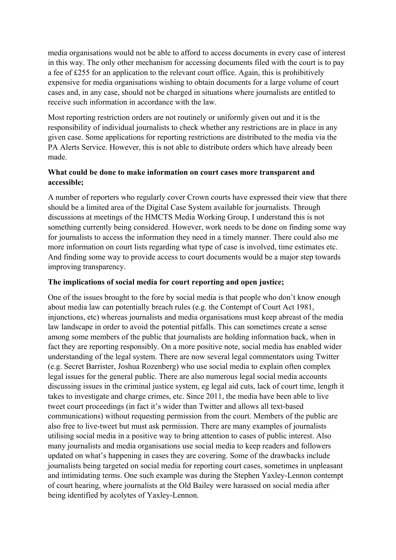media organisations would not be able to afford to access documents in every case of interest in this way. The only other mechanism for accessing documents filed with the court is to pay a fee of £255 for an application to the relevant court office. Again, this is prohibitively expensive for media organisations wishing to obtain documents for a large volume of court cases and, in any case, should not be charged in situations where journalists are entitled to receive such information in accordance with the law.

Most reporting restriction orders are not routinely or uniformly given out and it is the responsibility of individual journalists to check whether any restrictions are in place in any given case. Some applications for reporting restrictions are distributed to the media via the PA Alerts Service. However, this is not able to distribute orders which have already been made.

## **What could be done to make information on court cases more transparent and accessible;**

A number of reporters who regularly cover Crown courts have expressed their view that there should be a limited area of the Digital Case System available for journalists. Through discussions at meetings of the HMCTS Media Working Group, I understand this is not something currently being considered. However, work needs to be done on finding some way for journalists to access the information they need in a timely manner. There could also me more information on court lists regarding what type of case is involved, time estimates etc. And finding some way to provide access to court documents would be a major step towards improving transparency.

# **The implications of social media for court reporting and open justice;**

One of the issues brought to the fore by social media is that people who don't know enough about media law can potentially breach rules (e.g. the Contempt of Court Act 1981, injunctions, etc) whereas journalists and media organisations must keep abreast of the media law landscape in order to avoid the potential pitfalls. This can sometimes create a sense among some members of the public that journalists are holding information back, when in fact they are reporting responsibly. On a more positive note, social media has enabled wider understanding of the legal system. There are now several legal commentators using Twitter (e.g. Secret Barrister, Joshua Rozenberg) who use social media to explain often complex legal issues for the general public. There are also numerous legal social media accounts discussing issues in the criminal justice system, eg legal aid cuts, lack of court time, length it takes to investigate and charge crimes, etc. Since 2011, the media have been able to live tweet court proceedings (in fact it's wider than Twitter and allows all text-based communications) without requesting permission from the court. Members of the public are also free to live-tweet but must ask permission. There are many examples of journalists utilising social media in a positive way to bring attention to cases of public interest. Also many journalists and media organisations use social media to keep readers and followers updated on what's happening in cases they are covering. Some of the drawbacks include journalists being targeted on social media for reporting court cases, sometimes in unpleasant and intimidating terms. One such example was during the Stephen Yaxley-Lennon contempt of court hearing, where journalists at the Old Bailey were harassed on social media after being identified by acolytes of Yaxley-Lennon.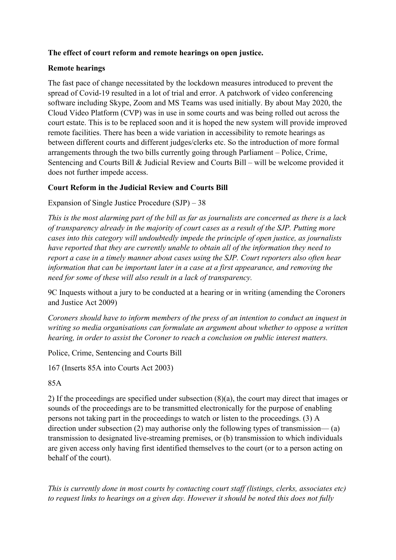# **The effect of court reform and remote hearings on open justice.**

### **Remote hearings**

The fast pace of change necessitated by the lockdown measures introduced to prevent the spread of Covid-19 resulted in a lot of trial and error. A patchwork of video conferencing software including Skype, Zoom and MS Teams was used initially. By about May 2020, the Cloud Video Platform (CVP) was in use in some courts and was being rolled out across the court estate. This is to be replaced soon and it is hoped the new system will provide improved remote facilities. There has been a wide variation in accessibility to remote hearings as between different courts and different judges/clerks etc. So the introduction of more formal arrangements through the two bills currently going through Parliament – Police, Crime, Sentencing and Courts Bill & Judicial Review and Courts Bill – will be welcome provided it does not further impede access.

## **Court Reform in the Judicial Review and Courts Bill**

Expansion of Single Justice Procedure (SJP) – 38

This is the most alarming part of the bill as far as journalists are concerned as there is a lack *of transparency already in the majority of court cases as a result of the SJP. Putting more cases into this category will undoubtedly impede the principle of open justice, as journalists have reported that they are currently unable to obtain all of the information they need to report a case in a timely manner about cases using the SJP. Court reporters also often hear information that can be important later in a case at a first appearance, and removing the need for some of these will also result in a lack of transparency.*

9C Inquests without a jury to be conducted at a hearing or in writing (amending the Coroners and Justice Act 2009)

*Coroners should have to inform members of the press of an intention to conduct an inquest in writing so media organisations can formulate an argument about whether to oppose a written hearing, in order to assist the Coroner to reach a conclusion on public interest matters.*

Police, Crime, Sentencing and Courts Bill

167 (Inserts 85A into Courts Act 2003)

85A

2) If the proceedings are specified under subsection (8)(a), the court may direct that images or sounds of the proceedings are to be transmitted electronically for the purpose of enabling persons not taking part in the proceedings to watch or listen to the proceedings. (3) A direction under subsection (2) may authorise only the following types of transmission— (a) transmission to designated live-streaming premises, or (b) transmission to which individuals are given access only having first identified themselves to the court (or to a person acting on behalf of the court).

*This is currently done in most courts by contacting court staff (listings, clerks, associates etc) to request links to hearings on a given day. However it should be noted this does not fully*